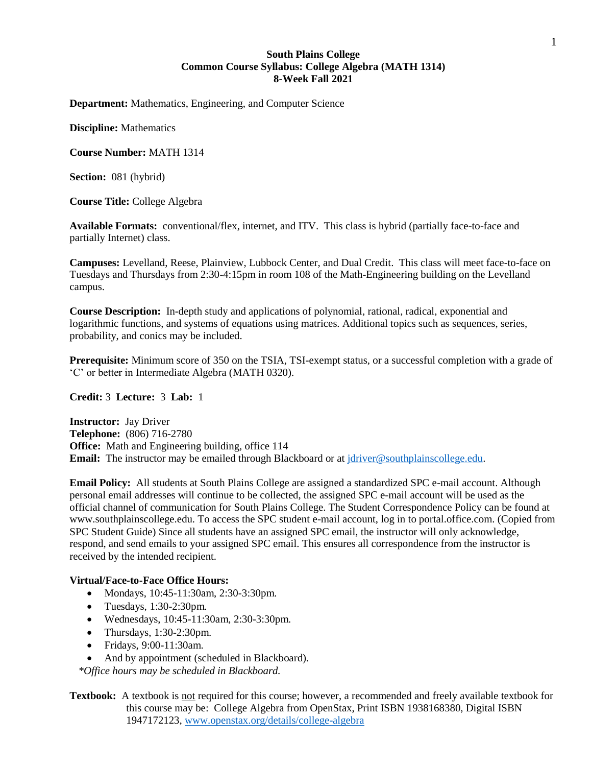## **South Plains College Common Course Syllabus: College Algebra (MATH 1314) 8-Week Fall 2021**

**Department:** Mathematics, Engineering, and Computer Science

**Discipline:** Mathematics

**Course Number:** MATH 1314

**Section:** 081 (hybrid)

**Course Title:** College Algebra

**Available Formats:** conventional/flex, internet, and ITV. This class is hybrid (partially face-to-face and partially Internet) class.

**Campuses:** Levelland, Reese, Plainview, Lubbock Center, and Dual Credit. This class will meet face-to-face on Tuesdays and Thursdays from 2:30-4:15pm in room 108 of the Math-Engineering building on the Levelland campus.

**Course Description:** In-depth study and applications of polynomial, rational, radical, exponential and logarithmic functions, and systems of equations using matrices. Additional topics such as sequences, series, probability, and conics may be included.

**Prerequisite:** Minimum score of 350 on the TSIA, TSI-exempt status, or a successful completion with a grade of 'C' or better in Intermediate Algebra (MATH 0320).

#### **Credit:** 3 **Lecture:** 3 **Lab:** 1

**Instructor:** Jay Driver **Telephone:** (806) 716-2780 **Office:** Math and Engineering building, office 114 **Email:** The instructor may be emailed through Blackboard or at [jdriver@southplainscollege.edu.](mailto:jdriver@southplainscollege.edu)

**Email Policy:** All students at South Plains College are assigned a standardized SPC e-mail account. Although personal email addresses will continue to be collected, the assigned SPC e-mail account will be used as the official channel of communication for South Plains College. The Student Correspondence Policy can be found at www.southplainscollege.edu. To access the SPC student e-mail account, log in to portal.office.com. (Copied from SPC Student Guide) Since all students have an assigned SPC email, the instructor will only acknowledge, respond, and send emails to your assigned SPC email. This ensures all correspondence from the instructor is received by the intended recipient.

## **Virtual/Face-to-Face Office Hours:**

- Mondays, 10:45-11:30am, 2:30-3:30pm.
- Tuesdays, 1:30-2:30pm.
- Wednesdays, 10:45-11:30am, 2:30-3:30pm.
- Thursdays, 1:30-2:30pm.
- Fridays, 9:00-11:30am.
- •And by appointment (scheduled in Blackboard).

*\*Office hours may be scheduled in Blackboard.*

**Textbook:** A textbook is not required for this course; however, a recommended and freely available textbook for this course may be: College Algebra from OpenStax, Print ISBN 1938168380, Digital ISBN 1947172123, [www.openstax.org/details/college-algebra](http://www.openstax.org/details/college-algebra)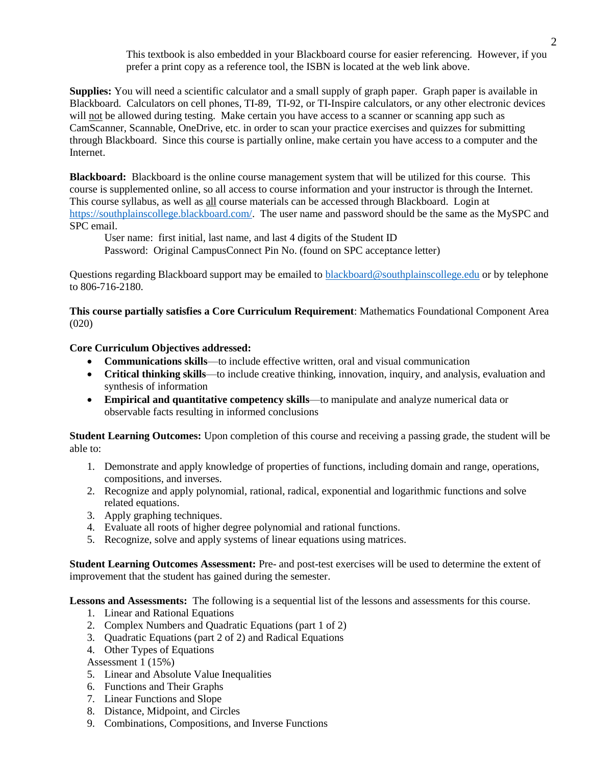This textbook is also embedded in your Blackboard course for easier referencing. However, if you prefer a print copy as a reference tool, the ISBN is located at the web link above.

**Supplies:** You will need a scientific calculator and a small supply of graph paper. Graph paper is available in Blackboard. Calculators on cell phones, TI-89, TI-92, or TI-Inspire calculators, or any other electronic devices will not be allowed during testing. Make certain you have access to a scanner or scanning app such as CamScanner, Scannable, OneDrive, etc. in order to scan your practice exercises and quizzes for submitting through Blackboard. Since this course is partially online, make certain you have access to a computer and the Internet.

**Blackboard:** Blackboard is the online course management system that will be utilized for this course. This course is supplemented online, so all access to course information and your instructor is through the Internet. This course syllabus, as well as all course materials can be accessed through Blackboard. Login at [https://southplainscollege.blackboard.com/.](https://southplainscollege.blackboard.com/) The user name and password should be the same as the MySPC and SPC email.

User name: first initial, last name, and last 4 digits of the Student ID

Password: Original CampusConnect Pin No. (found on SPC acceptance letter)

Questions regarding Blackboard support may be emailed to [blackboard@southplainscollege.edu](mailto:blackboard@southplainscollege.edu) or by telephone to 806-716-2180.

**This course partially satisfies a Core Curriculum Requirement**: Mathematics Foundational Component Area (020)

**Core Curriculum Objectives addressed:**

- **Communications skills**—to include effective written, oral and visual communication
- **Critical thinking skills**—to include creative thinking, innovation, inquiry, and analysis, evaluation and synthesis of information
- **Empirical and quantitative competency skills**—to manipulate and analyze numerical data or observable facts resulting in informed conclusions

**Student Learning Outcomes:** Upon completion of this course and receiving a passing grade, the student will be able to:

- 1. Demonstrate and apply knowledge of properties of functions, including domain and range, operations, compositions, and inverses.
- 2. Recognize and apply polynomial, rational, radical, exponential and logarithmic functions and solve related equations.
- 3. Apply graphing techniques.
- 4. Evaluate all roots of higher degree polynomial and rational functions.
- 5. Recognize, solve and apply systems of linear equations using matrices.

**Student Learning Outcomes Assessment:** Pre- and post-test exercises will be used to determine the extent of improvement that the student has gained during the semester.

**Lessons and Assessments:** The following is a sequential list of the lessons and assessments for this course.

- 1. Linear and Rational Equations
- 2. Complex Numbers and Quadratic Equations (part 1 of 2)
- 3. Quadratic Equations (part 2 of 2) and Radical Equations
- 4. Other Types of Equations

Assessment 1 (15%)

- 5. Linear and Absolute Value Inequalities
- 6. Functions and Their Graphs
- 7. Linear Functions and Slope
- 8. Distance, Midpoint, and Circles
- 9. Combinations, Compositions, and Inverse Functions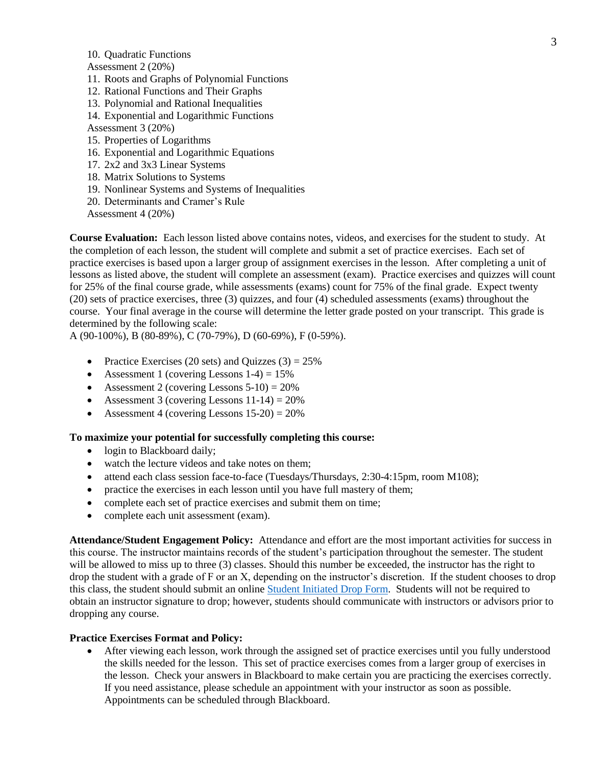10. Quadratic Functions

Assessment 2 (20%)

- 11. Roots and Graphs of Polynomial Functions
- 12. Rational Functions and Their Graphs
- 13. Polynomial and Rational Inequalities
- 14. Exponential and Logarithmic Functions

Assessment 3 (20%)

- 15. Properties of Logarithms
- 16. Exponential and Logarithmic Equations
- 17. 2x2 and 3x3 Linear Systems
- 18. Matrix Solutions to Systems
- 19. Nonlinear Systems and Systems of Inequalities
- 20. Determinants and Cramer's Rule
- Assessment 4 (20%)

**Course Evaluation:** Each lesson listed above contains notes, videos, and exercises for the student to study. At the completion of each lesson, the student will complete and submit a set of practice exercises. Each set of practice exercises is based upon a larger group of assignment exercises in the lesson. After completing a unit of lessons as listed above, the student will complete an assessment (exam). Practice exercises and quizzes will count for 25% of the final course grade, while assessments (exams) count for 75% of the final grade. Expect twenty (20) sets of practice exercises, three (3) quizzes, and four (4) scheduled assessments (exams) throughout the course. Your final average in the course will determine the letter grade posted on your transcript. This grade is determined by the following scale:

A (90-100%), B (80-89%), C (70-79%), D (60-69%), F (0-59%).

- Practice Exercises (20 sets) and Quizzes (3) =  $25\%$
- Assessment 1 (covering Lessons  $1-4$ ) =  $15\%$
- Assessment 2 (covering Lessons  $5-10$ ) =  $20\%$
- Assessment 3 (covering Lessons  $11-14$ ) =  $20\%$
- Assessment 4 (covering Lessons  $15-20$ ) =  $20\%$

#### **To maximize your potential for successfully completing this course:**

- login to Blackboard daily;
- watch the lecture videos and take notes on them;
- attend each class session face-to-face (Tuesdays/Thursdays, 2:30-4:15pm, room M108);
- practice the exercises in each lesson until you have full mastery of them;
- complete each set of practice exercises and submit them on time;
- complete each unit assessment (exam).

**Attendance/Student Engagement Policy:** Attendance and effort are the most important activities for success in this course. The instructor maintains records of the student's participation throughout the semester. The student will be allowed to miss up to three (3) classes. Should this number be exceeded, the instructor has the right to drop the student with a grade of F or an X, depending on the instructor's discretion. If the student chooses to drop this class, the student should submit an online [Student Initiated Drop Form.](https://forms.office.com/Pages/ResponsePage.aspx?id=ZrGRbWrP6UWeIqAmJdCCqRkmPIpp6AVCixFJfcqITt9UODExTUFXS0JOODhJOTlYM0NEV1kzRk9GMS4u) Students will not be required to obtain an instructor signature to drop; however, students should communicate with instructors or advisors prior to dropping any course.

#### **Practice Exercises Format and Policy:**

• After viewing each lesson, work through the assigned set of practice exercises until you fully understood the skills needed for the lesson. This set of practice exercises comes from a larger group of exercises in the lesson. Check your answers in Blackboard to make certain you are practicing the exercises correctly. If you need assistance, please schedule an appointment with your instructor as soon as possible. Appointments can be scheduled through Blackboard.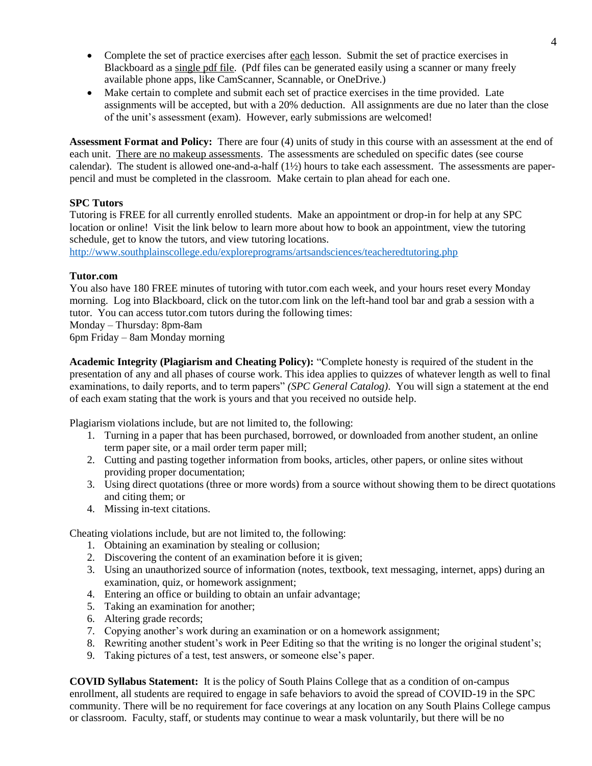- Complete the set of practice exercises after each lesson. Submit the set of practice exercises in Blackboard as a single pdf file. (Pdf files can be generated easily using a scanner or many freely available phone apps, like CamScanner, Scannable, or OneDrive.)
- Make certain to complete and submit each set of practice exercises in the time provided. Late assignments will be accepted, but with a 20% deduction. All assignments are due no later than the close of the unit's assessment (exam). However, early submissions are welcomed!

**Assessment Format and Policy:** There are four (4) units of study in this course with an assessment at the end of each unit. There are no makeup assessments. The assessments are scheduled on specific dates (see course calendar). The student is allowed one-and-a-half  $(1\frac{1}{2})$  hours to take each assessment. The assessments are paperpencil and must be completed in the classroom. Make certain to plan ahead for each one.

## **SPC Tutors**

Tutoring is FREE for all currently enrolled students. Make an appointment or drop-in for help at any SPC location or online! Visit the link below to learn more about how to book an appointment, view the tutoring schedule, get to know the tutors, and view tutoring locations.

<http://www.southplainscollege.edu/exploreprograms/artsandsciences/teacheredtutoring.php>

#### **Tutor.com**

You also have 180 FREE minutes of tutoring with tutor.com each week, and your hours reset every Monday morning. Log into Blackboard, click on the tutor.com link on the left-hand tool bar and grab a session with a tutor. You can access tutor.com tutors during the following times:

Monday – Thursday: 8pm-8am

6pm Friday – 8am Monday morning

**Academic Integrity (Plagiarism and Cheating Policy):** "Complete honesty is required of the student in the presentation of any and all phases of course work. This idea applies to quizzes of whatever length as well to final examinations, to daily reports, and to term papers" *(SPC General Catalog)*. You will sign a statement at the end of each exam stating that the work is yours and that you received no outside help.

Plagiarism violations include, but are not limited to, the following:

- 1. Turning in a paper that has been purchased, borrowed, or downloaded from another student, an online term paper site, or a mail order term paper mill;
- 2. Cutting and pasting together information from books, articles, other papers, or online sites without providing proper documentation;
- 3. Using direct quotations (three or more words) from a source without showing them to be direct quotations and citing them; or
- 4. Missing in-text citations.

Cheating violations include, but are not limited to, the following:

- 1. Obtaining an examination by stealing or collusion;
- 2. Discovering the content of an examination before it is given;
- 3. Using an unauthorized source of information (notes, textbook, text messaging, internet, apps) during an examination, quiz, or homework assignment;
- 4. Entering an office or building to obtain an unfair advantage;
- 5. Taking an examination for another;
- 6. Altering grade records;
- 7. Copying another's work during an examination or on a homework assignment;
- 8. Rewriting another student's work in Peer Editing so that the writing is no longer the original student's;
- 9. Taking pictures of a test, test answers, or someone else's paper.

**COVID Syllabus Statement:** It is the policy of South Plains College that as a condition of on-campus enrollment, all students are required to engage in safe behaviors to avoid the spread of COVID-19 in the SPC community. There will be no requirement for face coverings at any location on any South Plains College campus or classroom. Faculty, staff, or students may continue to wear a mask voluntarily, but there will be no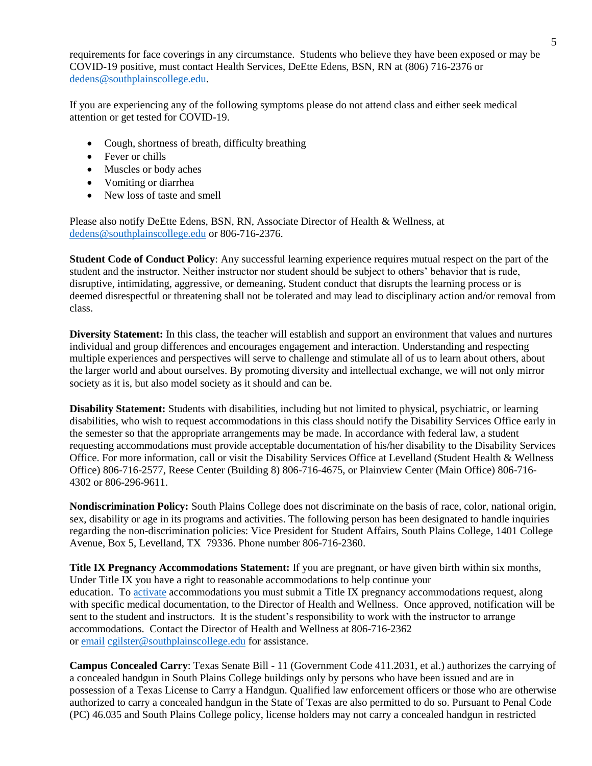requirements for face coverings in any circumstance. Students who believe they have been exposed or may be COVID-19 positive, must contact Health Services, DeEtte Edens, BSN, RN at (806) 716-2376 or [dedens@southplainscollege.edu.](mailto:dedens@southplainscollege.edu)

If you are experiencing any of the following symptoms please do not attend class and either seek medical attention or get tested for COVID-19.

- Cough, shortness of breath, difficulty breathing
- Fever or chills
- Muscles or body aches
- Vomiting or diarrhea
- New loss of taste and smell

Please also notify DeEtte Edens, BSN, RN, Associate Director of Health & Wellness, at [dedens@southplainscollege.edu](mailto:dedens@southplainscollege.edu) or 806-716-2376.

**Student Code of Conduct Policy**: Any successful learning experience requires mutual respect on the part of the student and the instructor. Neither instructor nor student should be subject to others' behavior that is rude, disruptive, intimidating, aggressive, or demeaning**.** Student conduct that disrupts the learning process or is deemed disrespectful or threatening shall not be tolerated and may lead to disciplinary action and/or removal from class.

**Diversity Statement:** In this class, the teacher will establish and support an environment that values and nurtures individual and group differences and encourages engagement and interaction. Understanding and respecting multiple experiences and perspectives will serve to challenge and stimulate all of us to learn about others, about the larger world and about ourselves. By promoting diversity and intellectual exchange, we will not only mirror society as it is, but also model society as it should and can be.

**Disability Statement:** Students with disabilities, including but not limited to physical, psychiatric, or learning disabilities, who wish to request accommodations in this class should notify the Disability Services Office early in the semester so that the appropriate arrangements may be made. In accordance with federal law, a student requesting accommodations must provide acceptable documentation of his/her disability to the Disability Services Office. For more information, call or visit the Disability Services Office at Levelland (Student Health & Wellness Office) 806-716-2577, Reese Center (Building 8) 806-716-4675, or Plainview Center (Main Office) 806-716- 4302 or 806-296-9611.

**Nondiscrimination Policy:** South Plains College does not discriminate on the basis of race, color, national origin, sex, disability or age in its programs and activities. The following person has been designated to handle inquiries regarding the non-discrimination policies: Vice President for Student Affairs, South Plains College, 1401 College Avenue, Box 5, Levelland, TX 79336. Phone number 806-716-2360.

**Title IX Pregnancy Accommodations Statement:** If you are pregnant, or have given birth within six months, Under Title IX you have a right to reasonable accommodations to help continue your education. To [activate](http://www.southplainscollege.edu/employees/manualshandbooks/facultyhandbook/sec4.php) accommodations you must submit a Title IX pregnancy accommodations request, along with specific medical documentation, to the Director of Health and Wellness. Once approved, notification will be sent to the student and instructors. It is the student's responsibility to work with the instructor to arrange accommodations. Contact the Director of Health and Wellness at 806-716-2362 or [email](http://www.southplainscollege.edu/employees/manualshandbooks/facultyhandbook/sec4.php) [cgilster@southplainscollege.edu](mailto:cgilster@southplainscollege.edu) for assistance.

**Campus Concealed Carry**: Texas Senate Bill - 11 (Government Code 411.2031, et al.) authorizes the carrying of a concealed handgun in South Plains College buildings only by persons who have been issued and are in possession of a Texas License to Carry a Handgun. Qualified law enforcement officers or those who are otherwise authorized to carry a concealed handgun in the State of Texas are also permitted to do so. Pursuant to Penal Code (PC) 46.035 and South Plains College policy, license holders may not carry a concealed handgun in restricted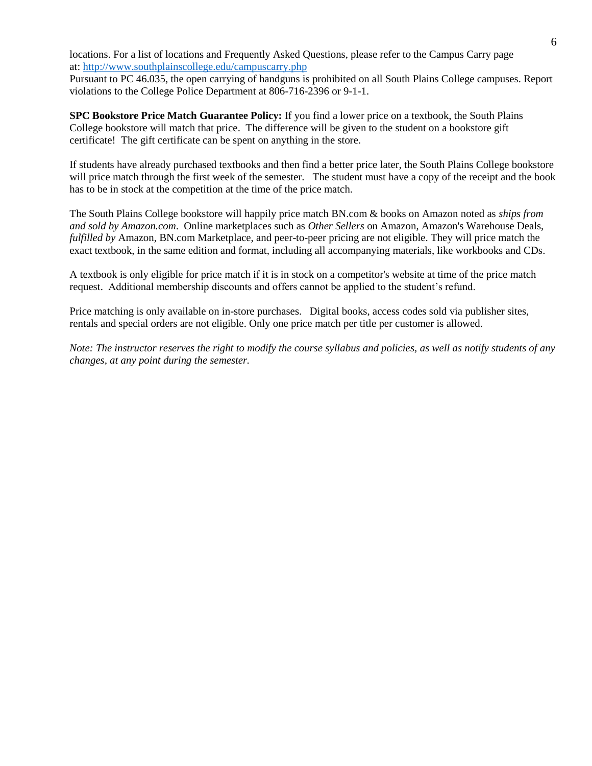locations. For a list of locations and Frequently Asked Questions, please refer to the Campus Carry page at: <http://www.southplainscollege.edu/campuscarry.php>

Pursuant to PC 46.035, the open carrying of handguns is prohibited on all South Plains College campuses. Report violations to the College Police Department at 806-716-2396 or 9-1-1.

**SPC Bookstore Price Match Guarantee Policy:** If you find a lower price on a textbook, the South Plains College bookstore will match that price. The difference will be given to the student on a bookstore gift certificate! The gift certificate can be spent on anything in the store.

If students have already purchased textbooks and then find a better price later, the South Plains College bookstore will price match through the first week of the semester. The student must have a copy of the receipt and the book has to be in stock at the competition at the time of the price match.

The South Plains College bookstore will happily price match BN.com & books on Amazon noted as *ships from and sold by Amazon.com*. Online marketplaces such as *Other Sellers* on Amazon, Amazon's Warehouse Deals, *fulfilled by* Amazon, BN.com Marketplace, and peer-to-peer pricing are not eligible. They will price match the exact textbook, in the same edition and format, including all accompanying materials, like workbooks and CDs.

A textbook is only eligible for price match if it is in stock on a competitor's website at time of the price match request. Additional membership discounts and offers cannot be applied to the student's refund.

Price matching is only available on in-store purchases. Digital books, access codes sold via publisher sites, rentals and special orders are not eligible. Only one price match per title per customer is allowed.

*Note: The instructor reserves the right to modify the course syllabus and policies, as well as notify students of any changes, at any point during the semester.*